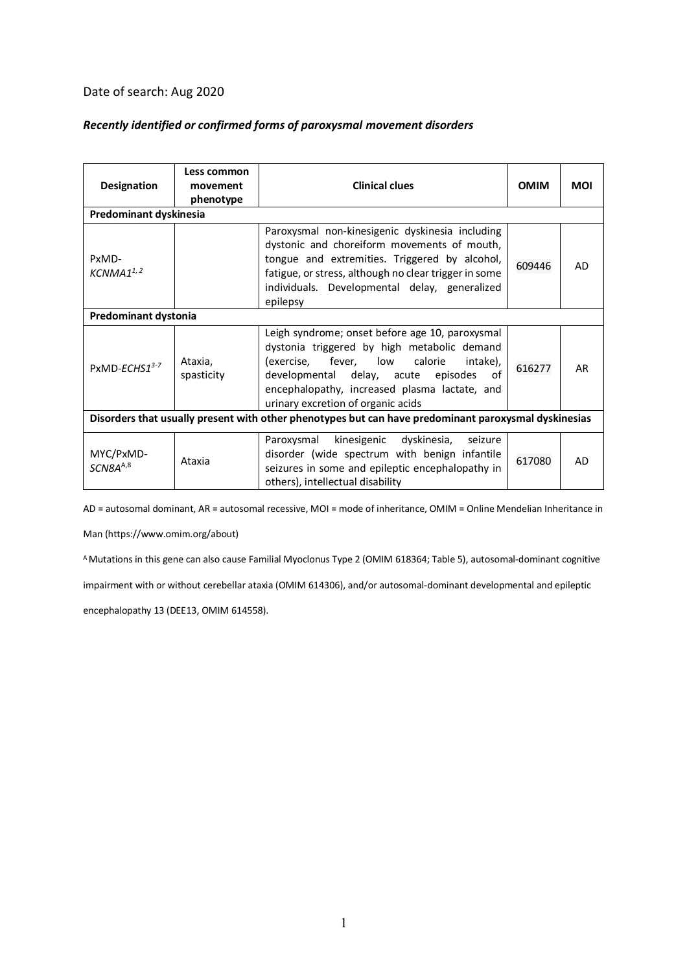## Date of search: Aug 2020

## *Recently identified or confirmed forms of paroxysmal movement disorders*

| Designation                                                                                          | Less common<br>movement<br>phenotype | <b>Clinical clues</b>                                                                                                                                                                                                                                                           | <b>OMIM</b> | <b>MOI</b> |
|------------------------------------------------------------------------------------------------------|--------------------------------------|---------------------------------------------------------------------------------------------------------------------------------------------------------------------------------------------------------------------------------------------------------------------------------|-------------|------------|
| Predominant dyskinesia                                                                               |                                      |                                                                                                                                                                                                                                                                                 |             |            |
| PxMD-<br>KCNMA1 <sup>1,2</sup>                                                                       |                                      | Paroxysmal non-kinesigenic dyskinesia including<br>dystonic and choreiform movements of mouth,<br>tongue and extremities. Triggered by alcohol,<br>fatigue, or stress, although no clear trigger in some<br>individuals. Developmental delay, generalized<br>epilepsy           | 609446      | AD         |
| Predominant dystonia                                                                                 |                                      |                                                                                                                                                                                                                                                                                 |             |            |
| PxMD-ECHS13-7                                                                                        | Ataxia,<br>spasticity                | Leigh syndrome; onset before age 10, paroxysmal<br>dystonia triggered by high metabolic demand<br>(exercise, fever, low calorie<br>intake),<br>developmental delay, acute episodes<br>of<br>encephalopathy, increased plasma lactate, and<br>urinary excretion of organic acids | 616277      | AR         |
| Disorders that usually present with other phenotypes but can have predominant paroxysmal dyskinesias |                                      |                                                                                                                                                                                                                                                                                 |             |            |
| MYC/PxMD-<br>SCN8A <sup>A,8</sup>                                                                    | Ataxia                               | Paroxysmal kinesigenic dyskinesia, seizure<br>disorder (wide spectrum with benign infantile<br>seizures in some and epileptic encephalopathy in<br>others), intellectual disability                                                                                             | 617080      | AD.        |

AD = autosomal dominant, AR = autosomal recessive, MOI = mode of inheritance, OMIM = Online Mendelian Inheritance in

Man (https://www.omim.org/about)

A Mutations in this gene can also cause Familial Myoclonus Type 2 (OMIM 618364; Table 5), autosomal-dominant cognitive

impairment with or without cerebellar ataxia (OMIM 614306), and/or autosomal-dominant developmental and epileptic

encephalopathy 13 (DEE13, OMIM 614558).